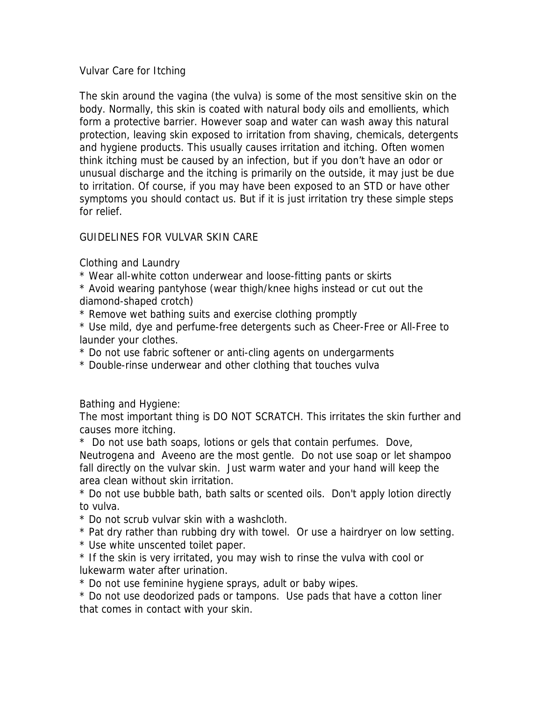## Vulvar Care for Itching

The skin around the vagina (the vulva) is some of the most sensitive skin on the body. Normally, this skin is coated with natural body oils and emollients, which form a protective barrier. However soap and water can wash away this natural protection, leaving skin exposed to irritation from shaving, chemicals, detergents and hygiene products. This usually causes irritation and itching. Often women think itching must be caused by an infection, but if you don't have an odor or unusual discharge and the itching is primarily on the outside, it may just be due to irritation. Of course, if you may have been exposed to an STD or have other symptoms you should contact us. But if it is just irritation try these simple steps for relief.

## GUIDELINES FOR VULVAR SKIN CARE

Clothing and Laundry

\* Wear all-white cotton underwear and loose-fitting pants or skirts

\* Avoid wearing pantyhose (wear thigh/knee highs instead or cut out the diamond-shaped crotch)

\* Remove wet bathing suits and exercise clothing promptly

\* Use mild, dye and perfume-free detergents such as Cheer-Free or All-Free to launder your clothes.

\* Do not use fabric softener or anti-cling agents on undergarments

\* Double-rinse underwear and other clothing that touches vulva

Bathing and Hygiene:

The most important thing is DO NOT SCRATCH. This irritates the skin further and causes more itching.

\* Do not use bath soaps, lotions or gels that contain perfumes. Dove, Neutrogena and Aveeno are the most gentle. Do not use soap or let shampoo fall directly on the vulvar skin. Just warm water and your hand will keep the area clean without skin irritation.

to vulva. \* Do not use bubble bath, bath salts or scented oils. Don't apply lotion directly

 $*$  Do not scrub vulvar skin with a washcloth.

\* Pat dry rather than rubbing dry with towel. Or use a hairdryer on low setting.

\* Use white unscented toilet paper.

\* If the skin is very irritated, you may wish to rinse the vulva with cool or lukewarm water after urination.

\* Do not use feminine hygiene sprays, adult or baby wipes.

\* Do not use deodorized pads or tampons. Use pads that have a cotton liner that comes in contact with your skin.